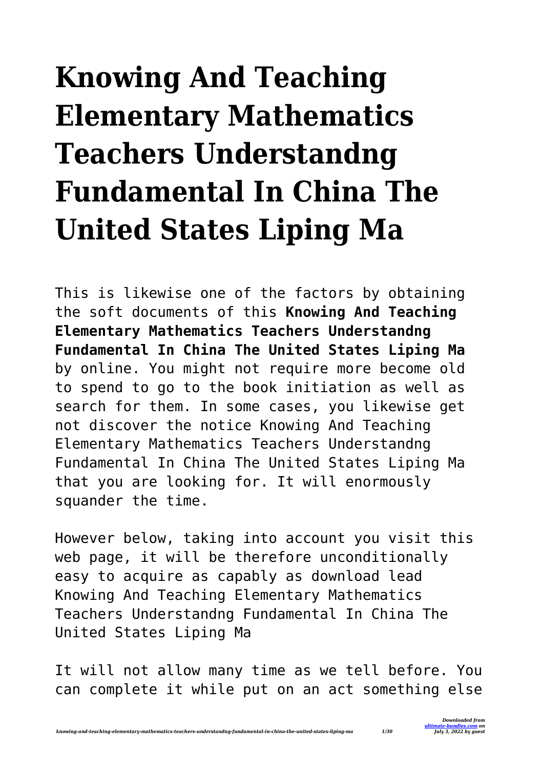## **Knowing And Teaching Elementary Mathematics Teachers Understandng Fundamental In China The United States Liping Ma**

This is likewise one of the factors by obtaining the soft documents of this **Knowing And Teaching Elementary Mathematics Teachers Understandng Fundamental In China The United States Liping Ma** by online. You might not require more become old to spend to go to the book initiation as well as search for them. In some cases, you likewise get not discover the notice Knowing And Teaching Elementary Mathematics Teachers Understandng Fundamental In China The United States Liping Ma that you are looking for. It will enormously squander the time.

However below, taking into account you visit this web page, it will be therefore unconditionally easy to acquire as capably as download lead Knowing And Teaching Elementary Mathematics Teachers Understandng Fundamental In China The United States Liping Ma

It will not allow many time as we tell before. You can complete it while put on an act something else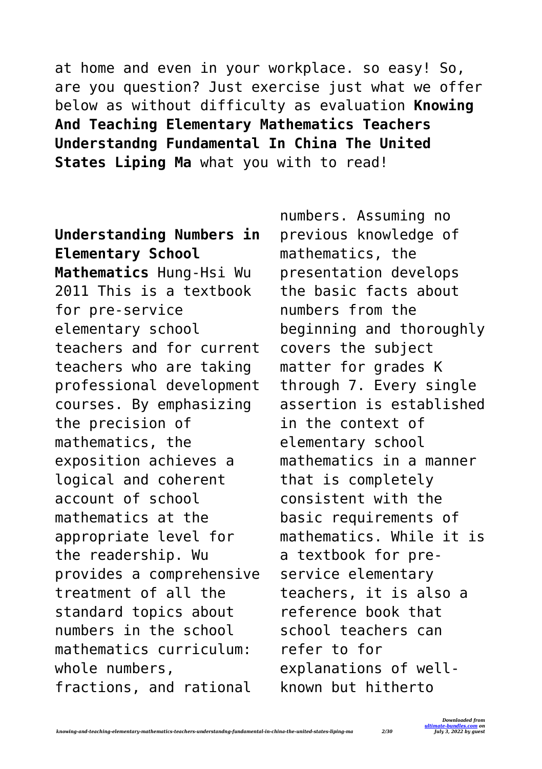at home and even in your workplace. so easy! So, are you question? Just exercise just what we offer below as without difficulty as evaluation **Knowing And Teaching Elementary Mathematics Teachers Understandng Fundamental In China The United States Liping Ma** what you with to read!

**Understanding Numbers in Elementary School Mathematics** Hung-Hsi Wu 2011 This is a textbook for pre-service elementary school teachers and for current teachers who are taking professional development courses. By emphasizing the precision of mathematics, the exposition achieves a logical and coherent account of school mathematics at the appropriate level for the readership. Wu provides a comprehensive treatment of all the standard topics about numbers in the school mathematics curriculum: whole numbers, fractions, and rational

numbers. Assuming no previous knowledge of mathematics, the presentation develops the basic facts about numbers from the beginning and thoroughly covers the subject matter for grades K through 7. Every single assertion is established in the context of elementary school mathematics in a manner that is completely consistent with the basic requirements of mathematics. While it is a textbook for preservice elementary teachers, it is also a reference book that school teachers can refer to for explanations of wellknown but hitherto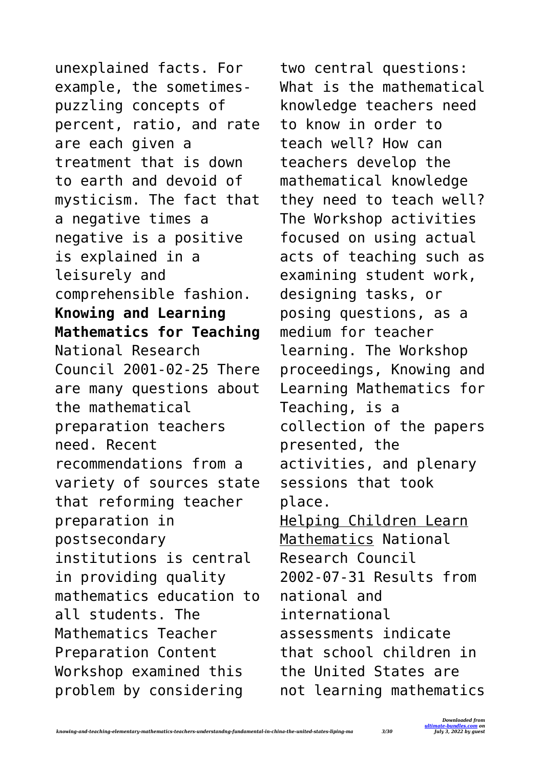unexplained facts. For example, the sometimespuzzling concepts of percent, ratio, and rate are each given a treatment that is down to earth and devoid of mysticism. The fact that a negative times a negative is a positive is explained in a leisurely and comprehensible fashion. **Knowing and Learning Mathematics for Teaching** National Research Council 2001-02-25 There are many questions about the mathematical preparation teachers need. Recent recommendations from a variety of sources state that reforming teacher preparation in postsecondary institutions is central in providing quality mathematics education to all students. The Mathematics Teacher Preparation Content Workshop examined this problem by considering

two central questions: What is the mathematical knowledge teachers need to know in order to teach well? How can teachers develop the mathematical knowledge they need to teach well? The Workshop activities focused on using actual acts of teaching such as examining student work, designing tasks, or posing questions, as a medium for teacher learning. The Workshop proceedings, Knowing and Learning Mathematics for Teaching, is a collection of the papers presented, the activities, and plenary sessions that took place. Helping Children Learn Mathematics National Research Council 2002-07-31 Results from national and international assessments indicate that school children in the United States are not learning mathematics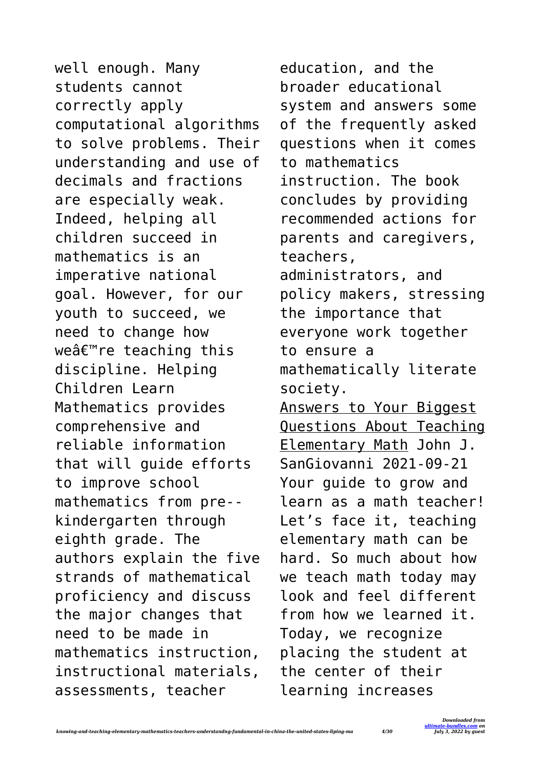well enough. Many students cannot correctly apply computational algorithms to solve problems. Their understanding and use of decimals and fractions are especially weak. Indeed, helping all children succeed in mathematics is an imperative national goal. However, for our youth to succeed, we need to change how weâ€<sup>™</sup>re teaching this discipline. Helping Children Learn Mathematics provides comprehensive and reliable information that will guide efforts to improve school mathematics from pre- kindergarten through eighth grade. The authors explain the five strands of mathematical proficiency and discuss the major changes that need to be made in mathematics instruction, instructional materials, assessments, teacher

education, and the broader educational system and answers some of the frequently asked questions when it comes to mathematics instruction. The book concludes by providing recommended actions for parents and caregivers, teachers, administrators, and policy makers, stressing the importance that everyone work together to ensure a mathematically literate society. Answers to Your Biggest Questions About Teaching Elementary Math John J. SanGiovanni 2021-09-21 Your guide to grow and learn as a math teacher! Let's face it, teaching elementary math can be hard. So much about how we teach math today may look and feel different from how we learned it. Today, we recognize placing the student at the center of their learning increases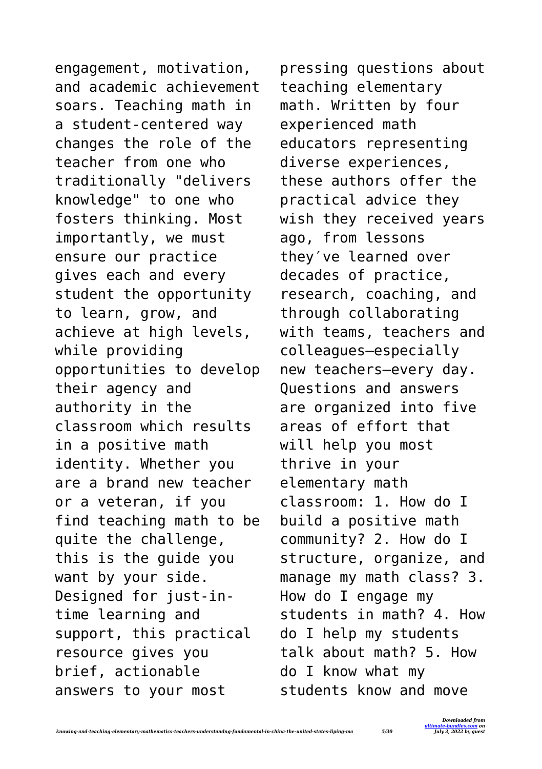engagement, motivation, and academic achievement soars. Teaching math in a student-centered way changes the role of the teacher from one who traditionally "delivers knowledge" to one who fosters thinking. Most importantly, we must ensure our practice gives each and every student the opportunity to learn, grow, and achieve at high levels, while providing opportunities to develop their agency and authority in the classroom which results in a positive math identity. Whether you are a brand new teacher or a veteran, if you find teaching math to be quite the challenge, this is the guide you want by your side. Designed for just-intime learning and support, this practical resource gives you brief, actionable answers to your most

pressing questions about teaching elementary math. Written by four experienced math educators representing diverse experiences, these authors offer the practical advice they wish they received years ago, from lessons they′ve learned over decades of practice, research, coaching, and through collaborating with teams, teachers and colleagues—especially new teachers—every day. Questions and answers are organized into five areas of effort that will help you most thrive in your elementary math classroom: 1. How do I build a positive math community? 2. How do I structure, organize, and manage my math class? 3. How do I engage my students in math? 4. How do I help my students talk about math? 5. How do I know what my students know and move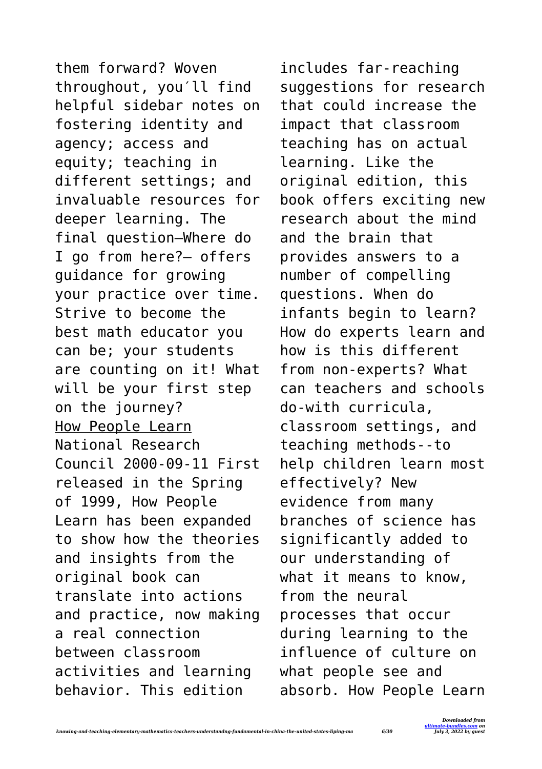them forward? Woven throughout, you′ll find helpful sidebar notes on fostering identity and agency; access and equity; teaching in different settings; and invaluable resources for deeper learning. The final question—Where do I go from here?— offers guidance for growing your practice over time. Strive to become the best math educator you can be; your students are counting on it! What will be your first step on the journey? How People Learn National Research Council 2000-09-11 First released in the Spring of 1999, How People Learn has been expanded to show how the theories and insights from the original book can translate into actions and practice, now making a real connection between classroom activities and learning behavior. This edition

includes far-reaching suggestions for research that could increase the impact that classroom teaching has on actual learning. Like the original edition, this book offers exciting new research about the mind and the brain that provides answers to a number of compelling questions. When do infants begin to learn? How do experts learn and how is this different from non-experts? What can teachers and schools do-with curricula, classroom settings, and teaching methods--to help children learn most effectively? New evidence from many branches of science has significantly added to our understanding of what it means to know, from the neural processes that occur during learning to the influence of culture on what people see and absorb. How People Learn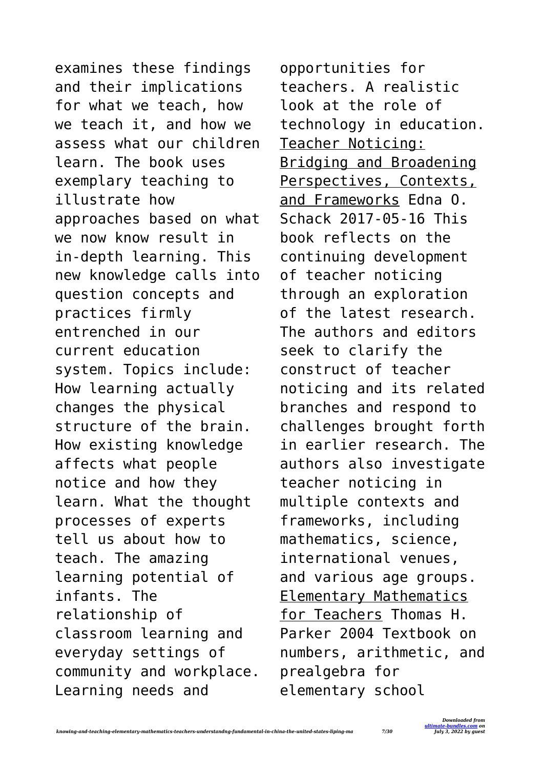examines these findings and their implications for what we teach, how we teach it, and how we assess what our children learn. The book uses exemplary teaching to illustrate how approaches based on what we now know result in in-depth learning. This new knowledge calls into question concepts and practices firmly entrenched in our current education system. Topics include: How learning actually changes the physical structure of the brain. How existing knowledge affects what people notice and how they learn. What the thought processes of experts tell us about how to teach. The amazing learning potential of infants. The relationship of classroom learning and everyday settings of community and workplace. Learning needs and

opportunities for teachers. A realistic look at the role of technology in education. Teacher Noticing: Bridging and Broadening Perspectives, Contexts, and Frameworks Edna O. Schack 2017-05-16 This book reflects on the continuing development of teacher noticing through an exploration of the latest research. The authors and editors seek to clarify the construct of teacher noticing and its related branches and respond to challenges brought forth in earlier research. The authors also investigate teacher noticing in multiple contexts and frameworks, including mathematics, science, international venues, and various age groups. Elementary Mathematics for Teachers Thomas H. Parker 2004 Textbook on numbers, arithmetic, and prealgebra for elementary school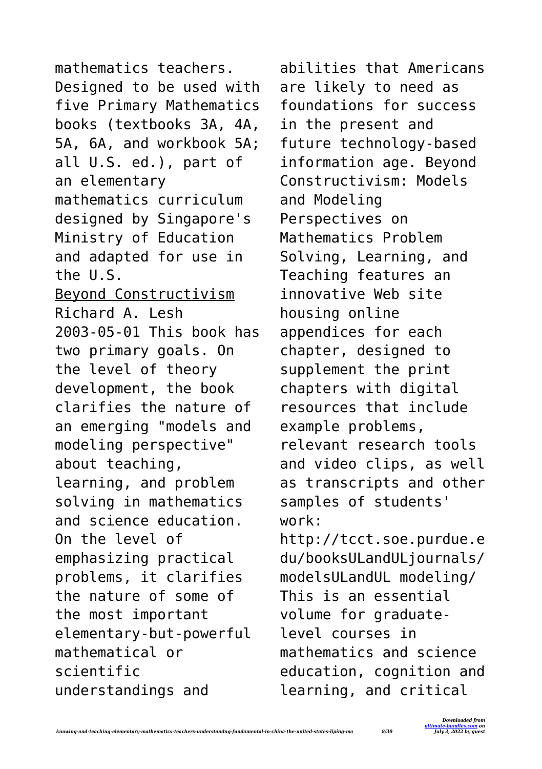mathematics teachers. Designed to be used with five Primary Mathematics books (textbooks 3A, 4A, 5A, 6A, and workbook 5A; all U.S. ed.), part of an elementary mathematics curriculum designed by Singapore's Ministry of Education and adapted for use in the U.S. Beyond Constructivism Richard A. Lesh 2003-05-01 This book has two primary goals. On the level of theory development, the book clarifies the nature of an emerging "models and modeling perspective" about teaching, learning, and problem solving in mathematics and science education. On the level of emphasizing practical problems, it clarifies the nature of some of the most important elementary-but-powerful mathematical or scientific understandings and

abilities that Americans are likely to need as foundations for success in the present and future technology-based information age. Beyond Constructivism: Models and Modeling Perspectives on Mathematics Problem Solving, Learning, and Teaching features an innovative Web site housing online appendices for each chapter, designed to supplement the print chapters with digital resources that include example problems, relevant research tools and video clips, as well as transcripts and other samples of students' work: http://tcct.soe.purdue.e du/booksULandULjournals/ modelsULandUL modeling/ This is an essential volume for graduatelevel courses in mathematics and science education, cognition and learning, and critical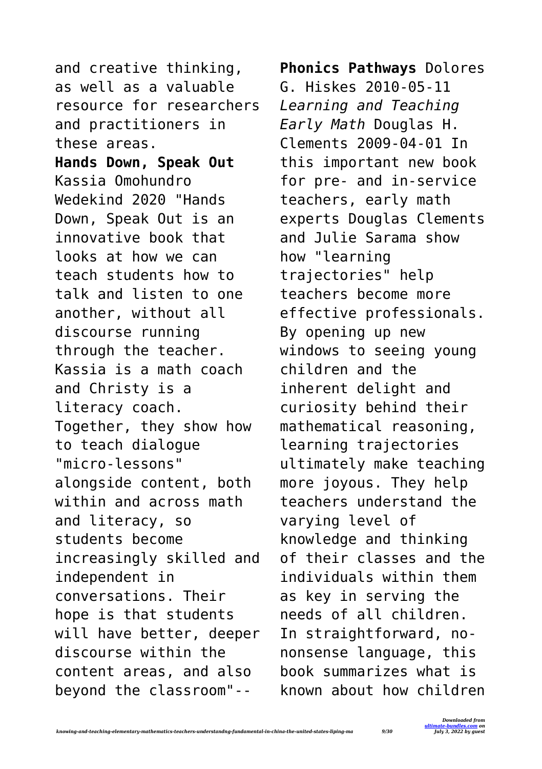and creative thinking, as well as a valuable resource for researchers and practitioners in these areas.

**Hands Down, Speak Out** Kassia Omohundro Wedekind 2020 "Hands Down, Speak Out is an innovative book that looks at how we can teach students how to talk and listen to one another, without all discourse running through the teacher. Kassia is a math coach and Christy is a literacy coach. Together, they show how to teach dialogue "micro-lessons" alongside content, both within and across math and literacy, so students become increasingly skilled and independent in conversations. Their hope is that students will have better, deeper discourse within the content areas, and also beyond the classroom"--

**Phonics Pathways** Dolores G. Hiskes 2010-05-11 *Learning and Teaching Early Math* Douglas H. Clements 2009-04-01 In this important new book for pre- and in-service teachers, early math experts Douglas Clements and Julie Sarama show how "learning trajectories" help teachers become more effective professionals. By opening up new windows to seeing young children and the inherent delight and curiosity behind their mathematical reasoning, learning trajectories ultimately make teaching more joyous. They help teachers understand the varying level of knowledge and thinking of their classes and the individuals within them as key in serving the needs of all children. In straightforward, nononsense language, this book summarizes what is known about how children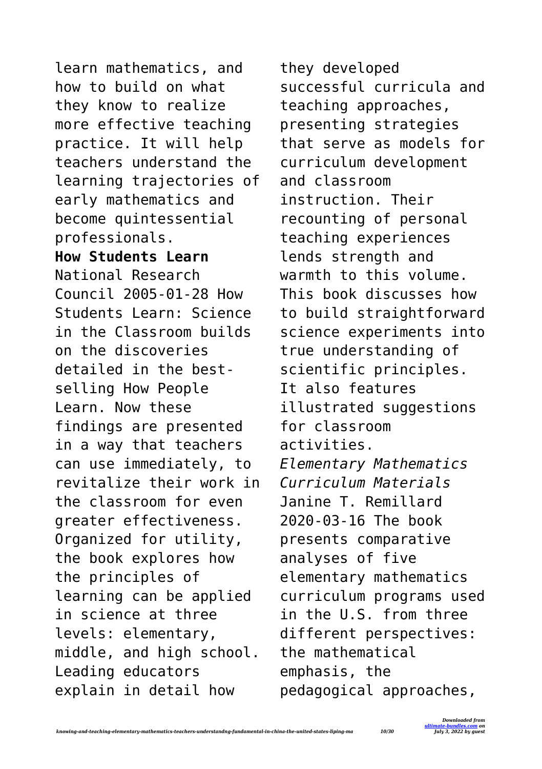learn mathematics, and how to build on what they know to realize more effective teaching practice. It will help teachers understand the learning trajectories of early mathematics and become quintessential professionals. **How Students Learn** National Research Council 2005-01-28 How Students Learn: Science in the Classroom builds on the discoveries detailed in the bestselling How People Learn. Now these findings are presented in a way that teachers can use immediately, to revitalize their work in the classroom for even greater effectiveness. Organized for utility, the book explores how the principles of learning can be applied in science at three levels: elementary, middle, and high school. Leading educators explain in detail how

they developed successful curricula and teaching approaches, presenting strategies that serve as models for curriculum development and classroom instruction. Their recounting of personal teaching experiences lends strength and warmth to this volume. This book discusses how to build straightforward science experiments into true understanding of scientific principles. It also features illustrated suggestions for classroom activities. *Elementary Mathematics Curriculum Materials* Janine T. Remillard 2020-03-16 The book presents comparative analyses of five elementary mathematics curriculum programs used in the U.S. from three different perspectives: the mathematical emphasis, the pedagogical approaches,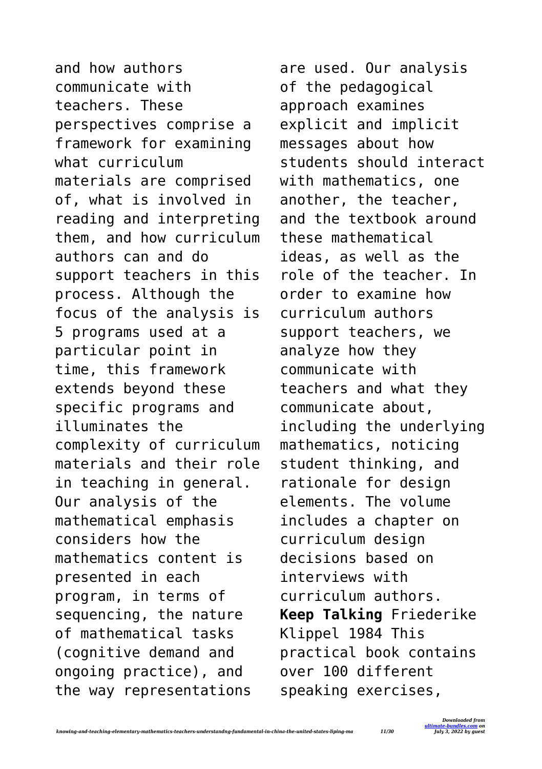and how authors communicate with teachers. These perspectives comprise a framework for examining what curriculum materials are comprised of, what is involved in reading and interpreting them, and how curriculum authors can and do support teachers in this process. Although the focus of the analysis is 5 programs used at a particular point in time, this framework extends beyond these specific programs and illuminates the complexity of curriculum materials and their role in teaching in general. Our analysis of the mathematical emphasis considers how the mathematics content is presented in each program, in terms of sequencing, the nature of mathematical tasks (cognitive demand and ongoing practice), and the way representations

are used. Our analysis of the pedagogical approach examines explicit and implicit messages about how students should interact with mathematics, one another, the teacher, and the textbook around these mathematical ideas, as well as the role of the teacher. In order to examine how curriculum authors support teachers, we analyze how they communicate with teachers and what they communicate about, including the underlying mathematics, noticing student thinking, and rationale for design elements. The volume includes a chapter on curriculum design decisions based on interviews with curriculum authors. **Keep Talking** Friederike Klippel 1984 This practical book contains over 100 different speaking exercises,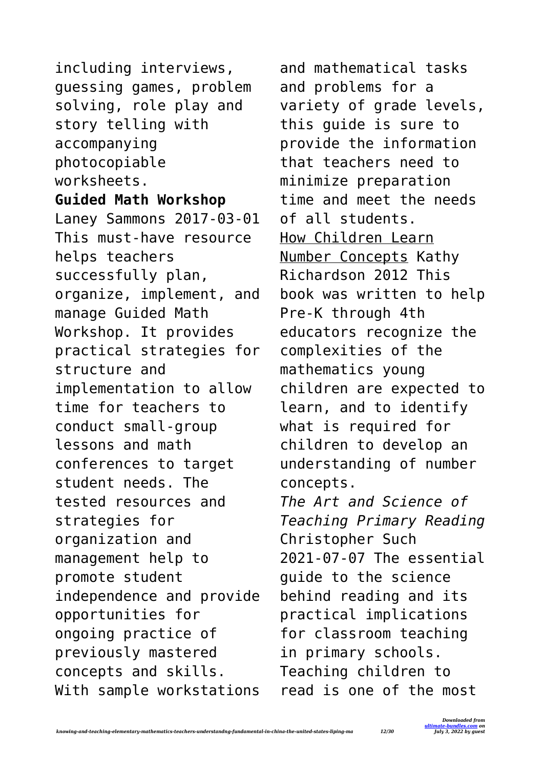including interviews, guessing games, problem solving, role play and story telling with accompanying photocopiable worksheets. **Guided Math Workshop** Laney Sammons 2017-03-01 This must-have resource helps teachers successfully plan, organize, implement, and manage Guided Math Workshop. It provides practical strategies for structure and implementation to allow time for teachers to conduct small-group lessons and math conferences to target student needs. The tested resources and strategies for organization and management help to promote student independence and provide opportunities for ongoing practice of previously mastered concepts and skills. With sample workstations and mathematical tasks and problems for a variety of grade levels, this guide is sure to provide the information that teachers need to minimize preparation time and meet the needs of all students. How Children Learn Number Concepts Kathy Richardson 2012 This book was written to help Pre-K through 4th educators recognize the complexities of the mathematics young children are expected to learn, and to identify what is required for children to develop an understanding of number concepts. *The Art and Science of Teaching Primary Reading* Christopher Such 2021-07-07 The essential guide to the science behind reading and its practical implications for classroom teaching in primary schools. Teaching children to read is one of the most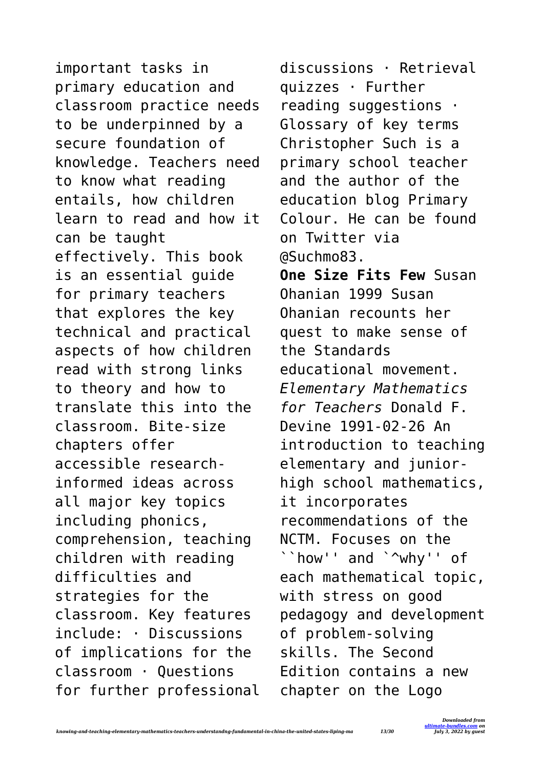important tasks in primary education and classroom practice needs to be underpinned by a secure foundation of knowledge. Teachers need to know what reading entails, how children learn to read and how it can be taught effectively. This book is an essential guide for primary teachers that explores the key technical and practical aspects of how children read with strong links to theory and how to translate this into the classroom. Bite-size chapters offer accessible researchinformed ideas across all major key topics including phonics, comprehension, teaching children with reading difficulties and strategies for the classroom. Key features include: · Discussions of implications for the classroom · Questions for further professional discussions · Retrieval quizzes · Further reading suggestions · Glossary of key terms Christopher Such is a primary school teacher and the author of the education blog Primary Colour. He can be found on Twitter via @Suchmo83. **One Size Fits Few** Susan Ohanian 1999 Susan Ohanian recounts her quest to make sense of the Standards educational movement. *Elementary Mathematics for Teachers* Donald F. Devine 1991-02-26 An introduction to teaching elementary and juniorhigh school mathematics, it incorporates recommendations of the NCTM. Focuses on the ``how'' and `^why'' of each mathematical topic, with stress on good pedagogy and development of problem-solving skills. The Second Edition contains a new chapter on the Logo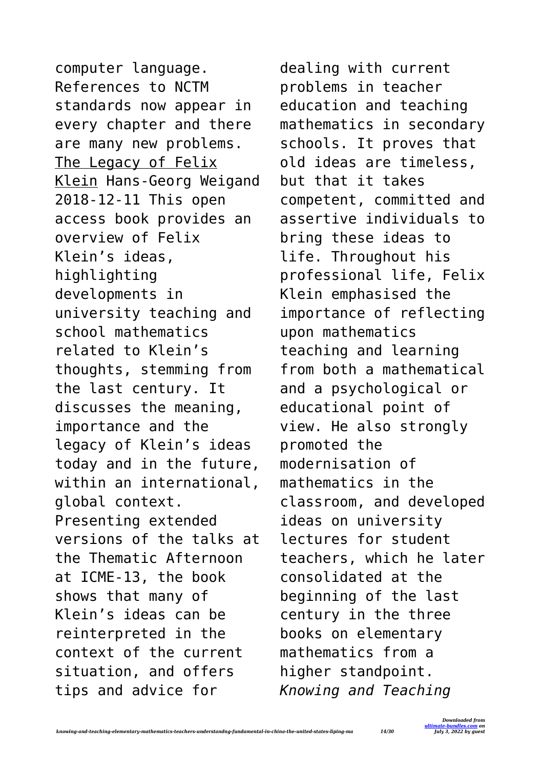computer language. References to NCTM standards now appear in every chapter and there are many new problems. The Legacy of Felix Klein Hans-Georg Weigand 2018-12-11 This open access book provides an overview of Felix Klein's ideas, highlighting developments in university teaching and school mathematics related to Klein's thoughts, stemming from the last century. It discusses the meaning, importance and the legacy of Klein's ideas today and in the future, within an international, global context. Presenting extended versions of the talks at the Thematic Afternoon at ICME-13, the book shows that many of Klein's ideas can be reinterpreted in the context of the current situation, and offers tips and advice for

dealing with current problems in teacher education and teaching mathematics in secondary schools. It proves that old ideas are timeless, but that it takes competent, committed and assertive individuals to bring these ideas to life. Throughout his professional life, Felix Klein emphasised the importance of reflecting upon mathematics teaching and learning from both a mathematical and a psychological or educational point of view. He also strongly promoted the modernisation of mathematics in the classroom, and developed ideas on university lectures for student teachers, which he later consolidated at the beginning of the last century in the three books on elementary mathematics from a higher standpoint. *Knowing and Teaching*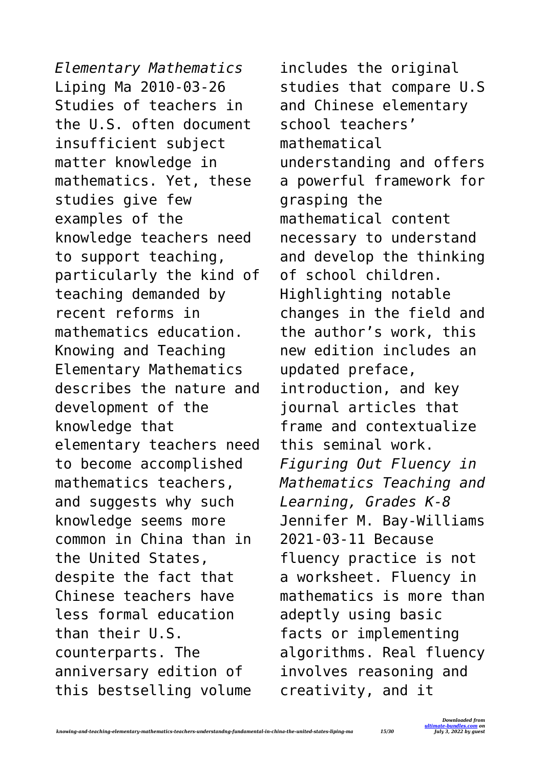*Elementary Mathematics* Liping Ma 2010-03-26 Studies of teachers in the U.S. often document insufficient subject matter knowledge in mathematics. Yet, these studies give few examples of the knowledge teachers need to support teaching, particularly the kind of teaching demanded by recent reforms in mathematics education. Knowing and Teaching Elementary Mathematics describes the nature and development of the knowledge that elementary teachers need to become accomplished mathematics teachers, and suggests why such knowledge seems more common in China than in the United States, despite the fact that Chinese teachers have less formal education than their U.S. counterparts. The anniversary edition of this bestselling volume

includes the original studies that compare U.S and Chinese elementary school teachers' mathematical understanding and offers a powerful framework for grasping the mathematical content necessary to understand and develop the thinking of school children. Highlighting notable changes in the field and the author's work, this new edition includes an updated preface, introduction, and key journal articles that frame and contextualize this seminal work. *Figuring Out Fluency in Mathematics Teaching and Learning, Grades K-8* Jennifer M. Bay-Williams 2021-03-11 Because fluency practice is not a worksheet. Fluency in mathematics is more than adeptly using basic facts or implementing algorithms. Real fluency involves reasoning and creativity, and it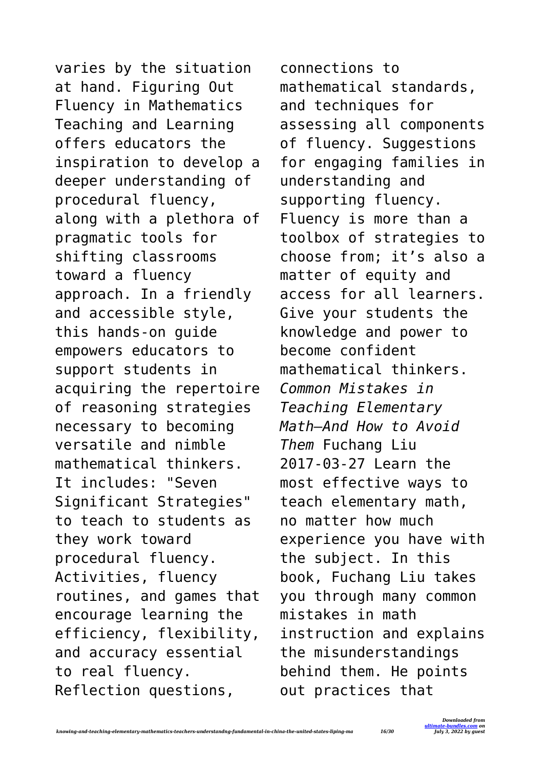varies by the situation at hand. Figuring Out Fluency in Mathematics Teaching and Learning offers educators the inspiration to develop a deeper understanding of procedural fluency, along with a plethora of pragmatic tools for shifting classrooms toward a fluency approach. In a friendly and accessible style, this hands-on guide empowers educators to support students in acquiring the repertoire of reasoning strategies necessary to becoming versatile and nimble mathematical thinkers. It includes: "Seven Significant Strategies" to teach to students as they work toward procedural fluency. Activities, fluency routines, and games that encourage learning the efficiency, flexibility, and accuracy essential to real fluency. Reflection questions,

connections to mathematical standards, and techniques for assessing all components of fluency. Suggestions for engaging families in understanding and supporting fluency. Fluency is more than a toolbox of strategies to choose from; it's also a matter of equity and access for all learners. Give your students the knowledge and power to become confident mathematical thinkers. *Common Mistakes in Teaching Elementary Math—And How to Avoid Them* Fuchang Liu 2017-03-27 Learn the most effective ways to teach elementary math, no matter how much experience you have with the subject. In this book, Fuchang Liu takes you through many common mistakes in math instruction and explains the misunderstandings behind them. He points out practices that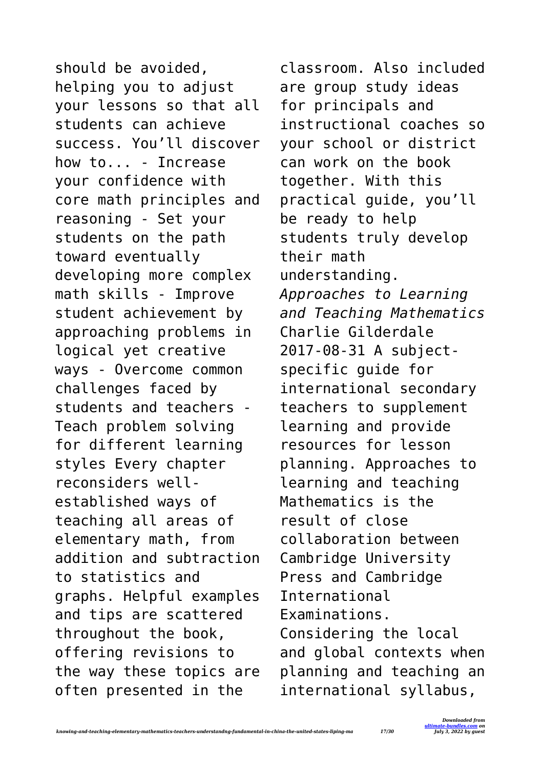should be avoided, helping you to adjust your lessons so that all students can achieve success. You'll discover how to... - Increase your confidence with core math principles and reasoning - Set your students on the path toward eventually developing more complex math skills - Improve student achievement by approaching problems in logical yet creative ways - Overcome common challenges faced by students and teachers - Teach problem solving for different learning styles Every chapter reconsiders wellestablished ways of teaching all areas of elementary math, from addition and subtraction to statistics and graphs. Helpful examples and tips are scattered throughout the book, offering revisions to the way these topics are often presented in the

classroom. Also included are group study ideas for principals and instructional coaches so your school or district can work on the book together. With this practical guide, you'll be ready to help students truly develop their math understanding. *Approaches to Learning and Teaching Mathematics* Charlie Gilderdale 2017-08-31 A subjectspecific guide for international secondary teachers to supplement learning and provide resources for lesson planning. Approaches to learning and teaching Mathematics is the result of close collaboration between Cambridge University Press and Cambridge International Examinations. Considering the local and global contexts when planning and teaching an international syllabus,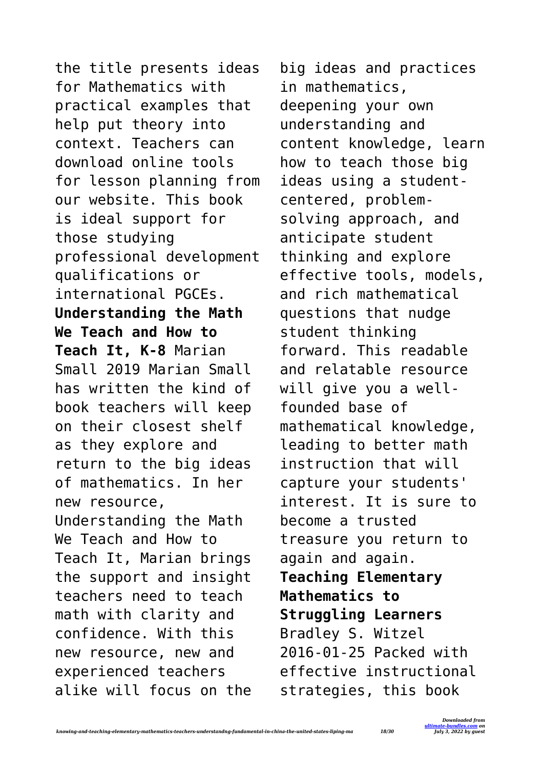the title presents ideas for Mathematics with practical examples that help put theory into context. Teachers can download online tools for lesson planning from our website. This book is ideal support for those studying professional development qualifications or international PGCEs. **Understanding the Math We Teach and How to Teach It, K-8** Marian Small 2019 Marian Small has written the kind of book teachers will keep on their closest shelf as they explore and return to the big ideas of mathematics. In her new resource, Understanding the Math We Teach and How to Teach It, Marian brings the support and insight teachers need to teach math with clarity and confidence. With this new resource, new and experienced teachers alike will focus on the

big ideas and practices in mathematics, deepening your own understanding and content knowledge, learn how to teach those big ideas using a studentcentered, problemsolving approach, and anticipate student thinking and explore effective tools, models, and rich mathematical questions that nudge student thinking forward. This readable and relatable resource will give you a wellfounded base of mathematical knowledge, leading to better math instruction that will capture your students' interest. It is sure to become a trusted treasure you return to again and again. **Teaching Elementary Mathematics to Struggling Learners** Bradley S. Witzel 2016-01-25 Packed with effective instructional strategies, this book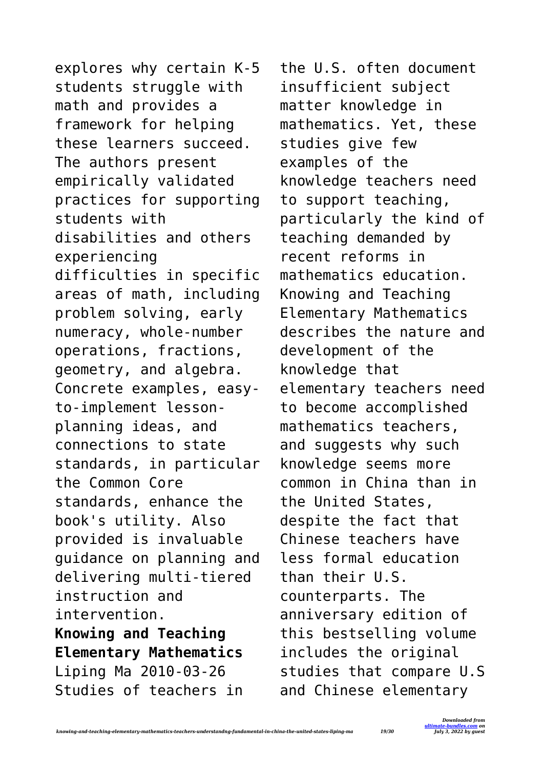explores why certain K-5 students struggle with math and provides a framework for helping these learners succeed. The authors present empirically validated practices for supporting students with disabilities and others experiencing difficulties in specific areas of math, including problem solving, early numeracy, whole-number operations, fractions, geometry, and algebra. Concrete examples, easyto-implement lessonplanning ideas, and connections to state standards, in particular the Common Core standards, enhance the book's utility. Also provided is invaluable guidance on planning and delivering multi-tiered instruction and intervention. **Knowing and Teaching Elementary Mathematics** Liping Ma 2010-03-26 Studies of teachers in

the U.S. often document insufficient subject matter knowledge in mathematics. Yet, these studies give few examples of the knowledge teachers need to support teaching, particularly the kind of teaching demanded by recent reforms in mathematics education. Knowing and Teaching Elementary Mathematics describes the nature and development of the knowledge that elementary teachers need to become accomplished mathematics teachers, and suggests why such knowledge seems more common in China than in the United States, despite the fact that Chinese teachers have less formal education than their U.S. counterparts. The anniversary edition of this bestselling volume includes the original studies that compare U.S and Chinese elementary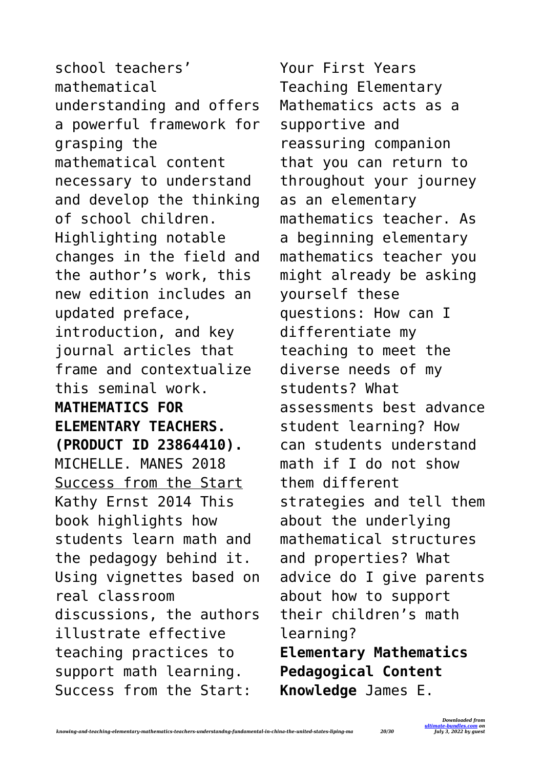school teachers' mathematical understanding and offers a powerful framework for grasping the mathematical content necessary to understand and develop the thinking of school children. Highlighting notable changes in the field and the author's work, this new edition includes an updated preface, introduction, and key journal articles that frame and contextualize this seminal work. **MATHEMATICS FOR ELEMENTARY TEACHERS. (PRODUCT ID 23864410).** MICHELLE. MANES 2018 Success from the Start Kathy Ernst 2014 This book highlights how students learn math and the pedagogy behind it. Using vignettes based on real classroom discussions, the authors illustrate effective teaching practices to support math learning. Success from the Start:

Your First Years Teaching Elementary Mathematics acts as a supportive and reassuring companion that you can return to throughout your journey as an elementary mathematics teacher. As a beginning elementary mathematics teacher you might already be asking yourself these questions: How can I differentiate my teaching to meet the diverse needs of my students? What assessments best advance student learning? How can students understand math if I do not show them different strategies and tell them about the underlying mathematical structures and properties? What advice do I give parents about how to support their children's math learning? **Elementary Mathematics Pedagogical Content Knowledge** James E.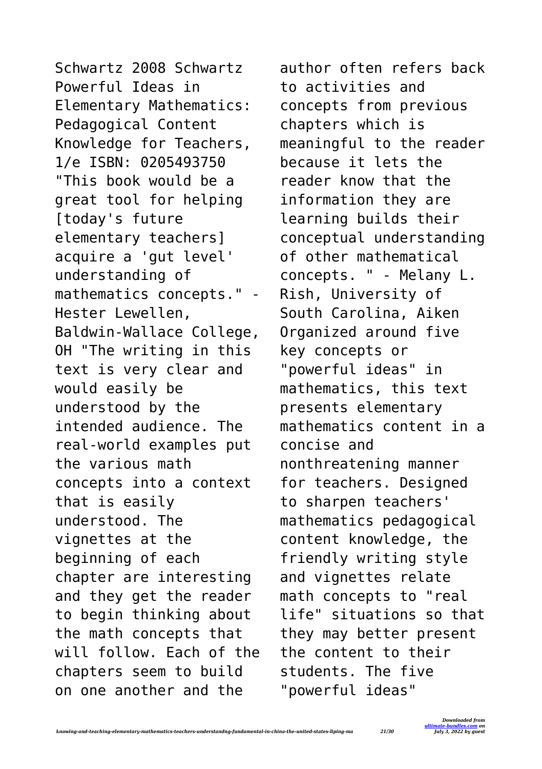Schwartz 2008 Schwartz Powerful Ideas in Elementary Mathematics: Pedagogical Content Knowledge for Teachers, 1/e ISBN: 0205493750 "This book would be a great tool for helping [today's future elementary teachers] acquire a 'gut level' understanding of mathematics concepts." - Hester Lewellen, Baldwin-Wallace College, OH "The writing in this text is very clear and would easily be understood by the intended audience. The real-world examples put the various math concepts into a context that is easily understood. The vignettes at the beginning of each chapter are interesting and they get the reader to begin thinking about the math concepts that will follow. Each of the chapters seem to build on one another and the

author often refers back to activities and concepts from previous chapters which is meaningful to the reader because it lets the reader know that the information they are learning builds their conceptual understanding of other mathematical concepts. " - Melany L. Rish, University of South Carolina, Aiken Organized around five key concepts or "powerful ideas" in mathematics, this text presents elementary mathematics content in a concise and nonthreatening manner for teachers. Designed to sharpen teachers' mathematics pedagogical content knowledge, the friendly writing style and vignettes relate math concepts to "real life" situations so that they may better present the content to their students. The five "powerful ideas"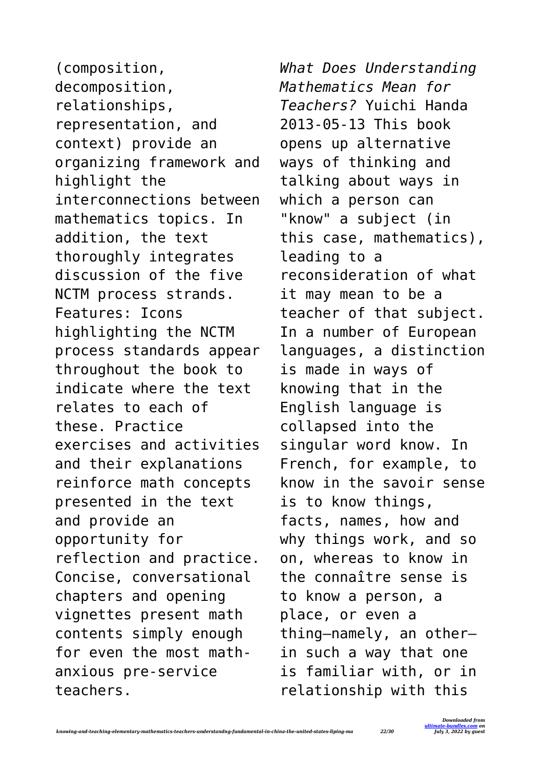(composition, decomposition, relationships, representation, and context) provide an organizing framework and highlight the interconnections between mathematics topics. In addition, the text thoroughly integrates discussion of the five NCTM process strands. Features: Icons highlighting the NCTM process standards appear throughout the book to indicate where the text relates to each of these. Practice exercises and activities and their explanations reinforce math concepts presented in the text and provide an opportunity for reflection and practice. Concise, conversational chapters and opening vignettes present math contents simply enough for even the most mathanxious pre-service teachers.

*What Does Understanding Mathematics Mean for Teachers?* Yuichi Handa 2013-05-13 This book opens up alternative ways of thinking and talking about ways in which a person can "know" a subject (in this case, mathematics), leading to a reconsideration of what it may mean to be a teacher of that subject. In a number of European languages, a distinction is made in ways of knowing that in the English language is collapsed into the singular word know. In French, for example, to know in the savoir sense is to know things, facts, names, how and why things work, and so on, whereas to know in the connaître sense is to know a person, a place, or even a thing—namely, an other in such a way that one is familiar with, or in relationship with this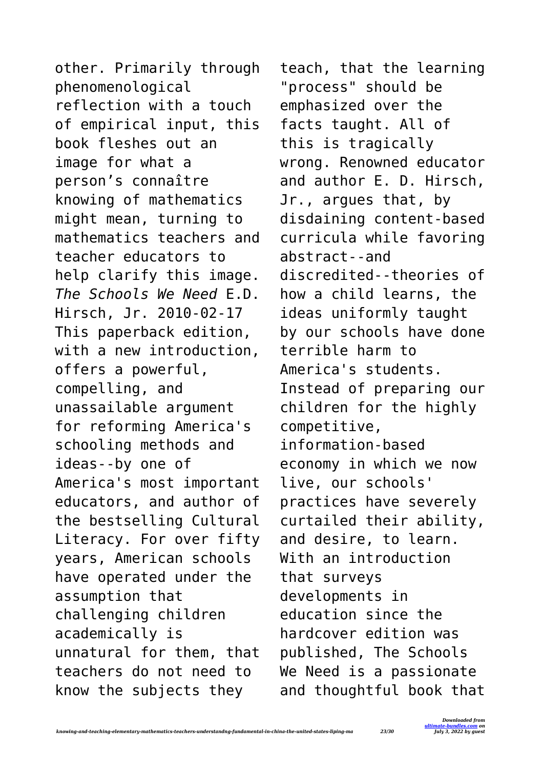other. Primarily through phenomenological reflection with a touch of empirical input, this book fleshes out an image for what a person's connaître knowing of mathematics might mean, turning to mathematics teachers and teacher educators to help clarify this image. *The Schools We Need* E.D. Hirsch, Jr. 2010-02-17 This paperback edition, with a new introduction. offers a powerful, compelling, and unassailable argument for reforming America's schooling methods and ideas--by one of America's most important educators, and author of the bestselling Cultural Literacy. For over fifty years, American schools have operated under the assumption that challenging children academically is unnatural for them, that teachers do not need to know the subjects they

teach, that the learning "process" should be emphasized over the facts taught. All of this is tragically wrong. Renowned educator and author E. D. Hirsch, Jr., argues that, by disdaining content-based curricula while favoring abstract--and discredited--theories of how a child learns, the ideas uniformly taught by our schools have done terrible harm to America's students. Instead of preparing our children for the highly competitive, information-based economy in which we now live, our schools' practices have severely curtailed their ability, and desire, to learn. With an introduction that surveys developments in education since the hardcover edition was published, The Schools We Need is a passionate and thoughtful book that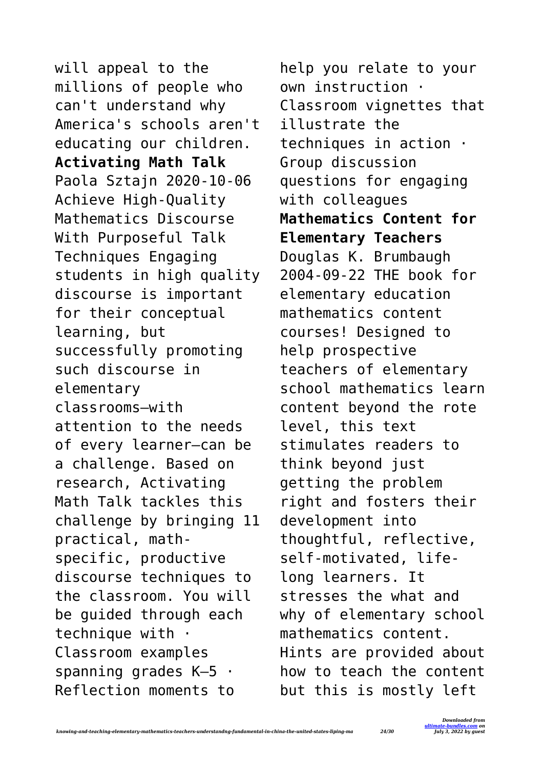will appeal to the millions of people who can't understand why America's schools aren't educating our children. **Activating Math Talk** Paola Sztajn 2020-10-06 Achieve High-Quality Mathematics Discourse With Purposeful Talk Techniques Engaging students in high quality discourse is important for their conceptual learning, but successfully promoting such discourse in elementary classrooms—with attention to the needs of every learner—can be a challenge. Based on research, Activating Math Talk tackles this challenge by bringing 11 practical, mathspecific, productive discourse techniques to the classroom. You will be guided through each technique with  $\cdot$ Classroom examples spanning grades K–5 · Reflection moments to

help you relate to your own instruction · Classroom vignettes that illustrate the techniques in action · Group discussion questions for engaging with colleagues **Mathematics Content for Elementary Teachers** Douglas K. Brumbaugh 2004-09-22 THE book for elementary education mathematics content courses! Designed to help prospective teachers of elementary school mathematics learn content beyond the rote level, this text stimulates readers to think beyond just getting the problem right and fosters their development into thoughtful, reflective, self-motivated, lifelong learners. It stresses the what and why of elementary school mathematics content. Hints are provided about how to teach the content but this is mostly left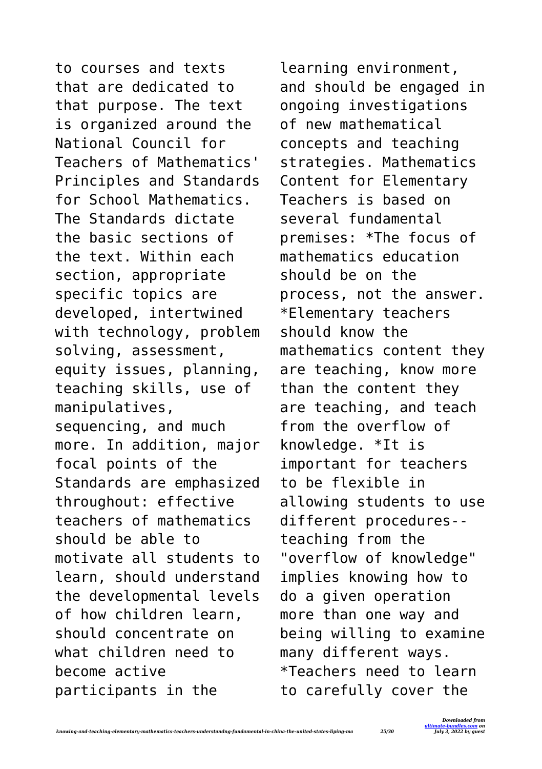to courses and texts that are dedicated to that purpose. The text is organized around the National Council for Teachers of Mathematics' Principles and Standards for School Mathematics. The Standards dictate the basic sections of the text. Within each section, appropriate specific topics are developed, intertwined with technology, problem solving, assessment, equity issues, planning, teaching skills, use of manipulatives, sequencing, and much more. In addition, major focal points of the Standards are emphasized throughout: effective teachers of mathematics should be able to motivate all students to learn, should understand the developmental levels of how children learn, should concentrate on what children need to become active participants in the

learning environment, and should be engaged in ongoing investigations of new mathematical concepts and teaching strategies. Mathematics Content for Elementary Teachers is based on several fundamental premises: \*The focus of mathematics education should be on the process, not the answer. \*Elementary teachers should know the mathematics content they are teaching, know more than the content they are teaching, and teach from the overflow of knowledge. \*It is important for teachers to be flexible in allowing students to use different procedures- teaching from the "overflow of knowledge" implies knowing how to do a given operation more than one way and being willing to examine many different ways. \*Teachers need to learn to carefully cover the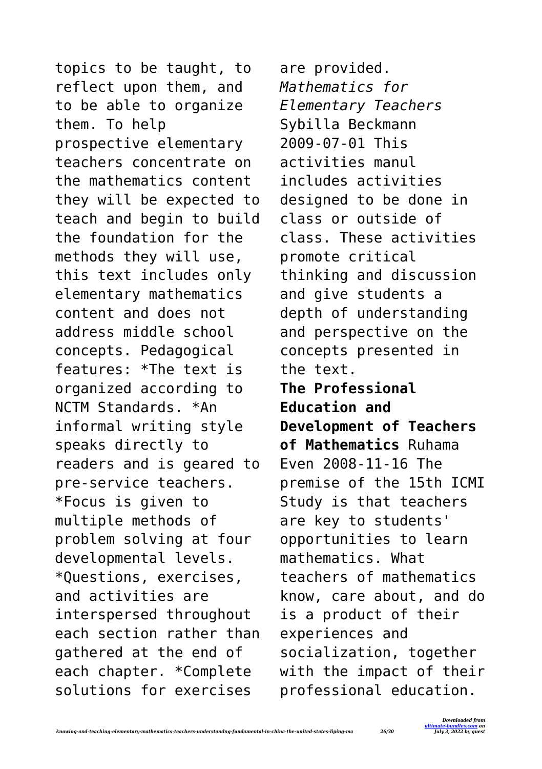topics to be taught, to reflect upon them, and to be able to organize them. To help prospective elementary teachers concentrate on the mathematics content they will be expected to teach and begin to build the foundation for the methods they will use, this text includes only elementary mathematics content and does not address middle school concepts. Pedagogical features: \*The text is organized according to NCTM Standards. \*An informal writing style speaks directly to readers and is geared to pre-service teachers. \*Focus is given to multiple methods of problem solving at four developmental levels. \*Questions, exercises, and activities are interspersed throughout each section rather than gathered at the end of each chapter. \*Complete solutions for exercises

are provided. *Mathematics for Elementary Teachers* Sybilla Beckmann 2009-07-01 This activities manul includes activities designed to be done in class or outside of class. These activities promote critical thinking and discussion and give students a depth of understanding and perspective on the concepts presented in the text. **The Professional Education and Development of Teachers of Mathematics** Ruhama Even 2008-11-16 The premise of the 15th ICMI Study is that teachers are key to students' opportunities to learn mathematics. What teachers of mathematics know, care about, and do is a product of their experiences and socialization, together with the impact of their professional education.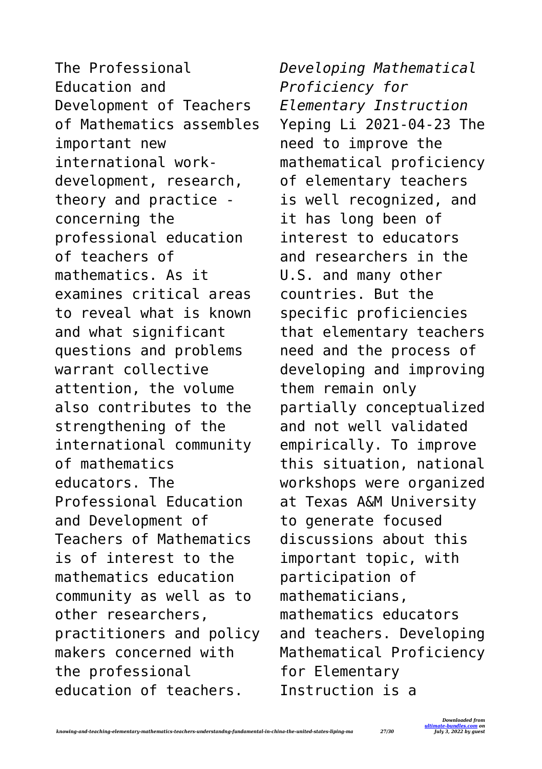The Professional Education and Development of Teachers of Mathematics assembles important new international workdevelopment, research, theory and practice concerning the professional education of teachers of mathematics. As it examines critical areas to reveal what is known and what significant questions and problems warrant collective attention, the volume also contributes to the strengthening of the international community of mathematics educators. The Professional Education and Development of Teachers of Mathematics is of interest to the mathematics education community as well as to other researchers, practitioners and policy makers concerned with the professional education of teachers.

*Developing Mathematical Proficiency for Elementary Instruction* Yeping Li 2021-04-23 The need to improve the mathematical proficiency of elementary teachers is well recognized, and it has long been of interest to educators and researchers in the U.S. and many other countries. But the specific proficiencies that elementary teachers need and the process of developing and improving them remain only partially conceptualized and not well validated empirically. To improve this situation, national workshops were organized at Texas A&M University to generate focused discussions about this important topic, with participation of mathematicians, mathematics educators and teachers. Developing Mathematical Proficiency for Elementary Instruction is a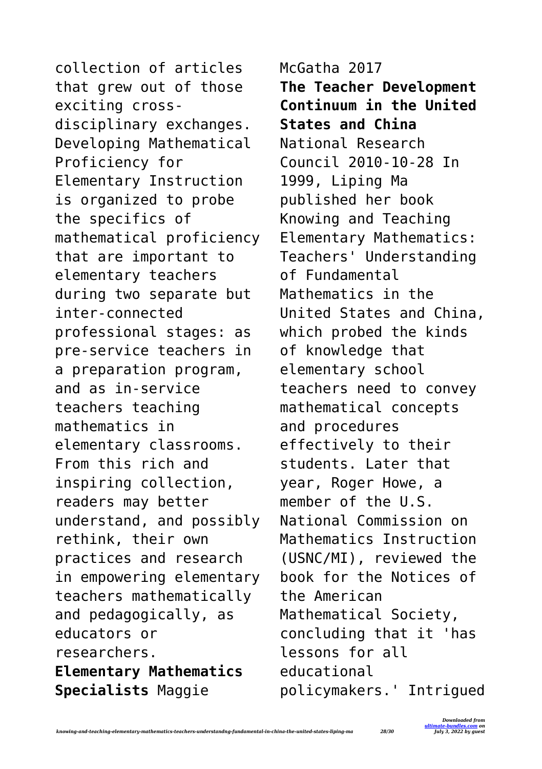collection of articles that grew out of those exciting crossdisciplinary exchanges. Developing Mathematical Proficiency for Elementary Instruction is organized to probe the specifics of mathematical proficiency that are important to elementary teachers during two separate but inter-connected professional stages: as pre-service teachers in a preparation program, and as in-service teachers teaching mathematics in elementary classrooms. From this rich and inspiring collection, readers may better understand, and possibly rethink, their own practices and research in empowering elementary teachers mathematically and pedagogically, as educators or researchers. **Elementary Mathematics Specialists** Maggie

McGatha 2017 **The Teacher Development Continuum in the United States and China** National Research Council 2010-10-28 In 1999, Liping Ma published her book Knowing and Teaching Elementary Mathematics: Teachers' Understanding of Fundamental Mathematics in the United States and China, which probed the kinds of knowledge that elementary school teachers need to convey mathematical concepts and procedures effectively to their students. Later that year, Roger Howe, a member of the U.S. National Commission on Mathematics Instruction (USNC/MI), reviewed the book for the Notices of the American Mathematical Society, concluding that it 'has lessons for all educational policymakers.' Intrigued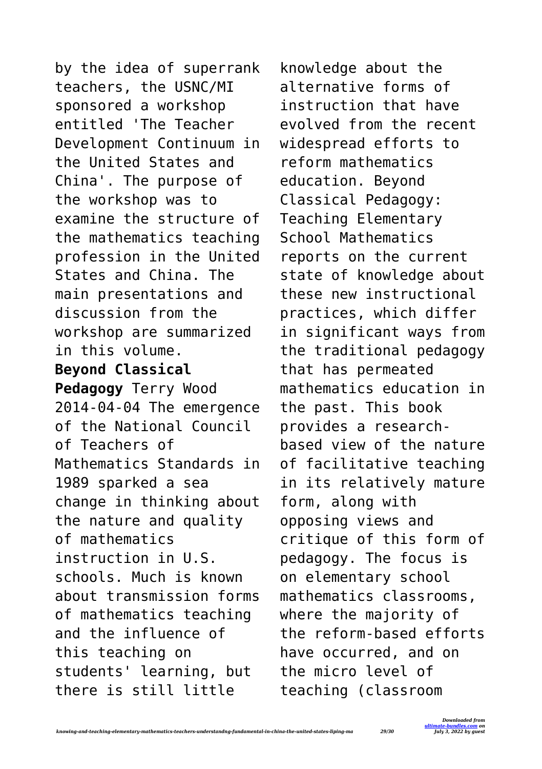by the idea of superrank teachers, the USNC/MI sponsored a workshop entitled 'The Teacher Development Continuum in the United States and China'. The purpose of the workshop was to examine the structure of the mathematics teaching profession in the United States and China. The main presentations and discussion from the workshop are summarized in this volume. **Beyond Classical Pedagogy** Terry Wood 2014-04-04 The emergence of the National Council of Teachers of Mathematics Standards in 1989 sparked a sea change in thinking about the nature and quality of mathematics instruction in U.S. schools. Much is known about transmission forms of mathematics teaching and the influence of this teaching on students' learning, but there is still little

knowledge about the alternative forms of instruction that have evolved from the recent widespread efforts to reform mathematics education. Beyond Classical Pedagogy: Teaching Elementary School Mathematics reports on the current state of knowledge about these new instructional practices, which differ in significant ways from the traditional pedagogy that has permeated mathematics education in the past. This book provides a researchbased view of the nature of facilitative teaching in its relatively mature form, along with opposing views and critique of this form of pedagogy. The focus is on elementary school mathematics classrooms, where the majority of the reform-based efforts have occurred, and on the micro level of teaching (classroom